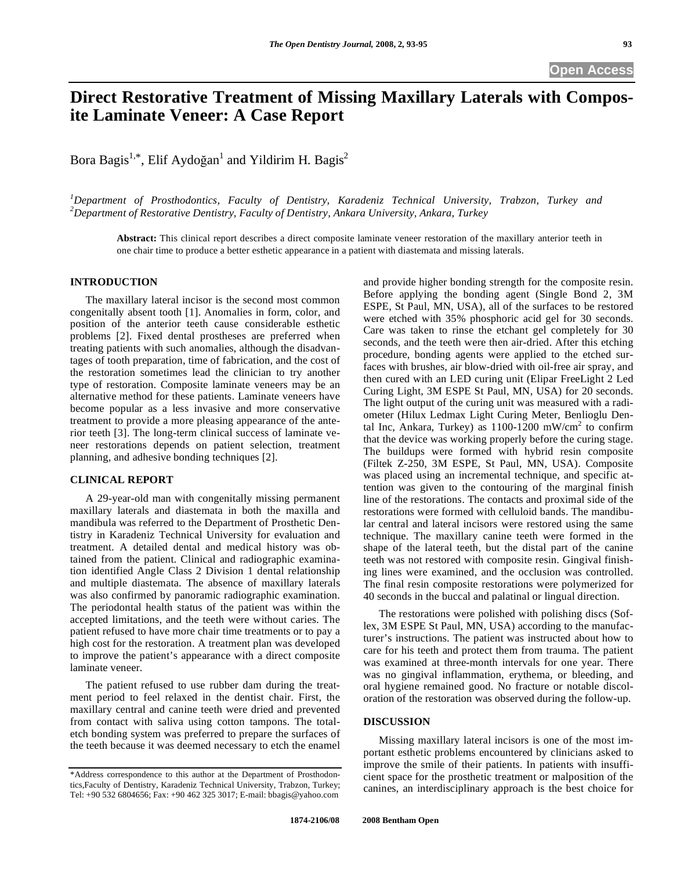# **Direct Restorative Treatment of Missing Maxillary Laterals with Composite Laminate Veneer: A Case Report**

Bora Bagis<sup>1,\*</sup>, Elif Aydoğan<sup>1</sup> and Yildirim H. Bagis<sup>2</sup>

*1 Department of Prosthodontics, Faculty of Dentistry, Karadeniz Technical University, Trabzon, Turkey and 2 Department of Restorative Dentistry, Faculty of Dentistry, Ankara University, Ankara, Turkey* 

**Abstract:** This clinical report describes a direct composite laminate veneer restoration of the maxillary anterior teeth in one chair time to produce a better esthetic appearance in a patient with diastemata and missing laterals.

## **INTRODUCTION**

 The maxillary lateral incisor is the second most common congenitally absent tooth [1]. Anomalies in form, color, and position of the anterior teeth cause considerable esthetic problems [2]. Fixed dental prostheses are preferred when treating patients with such anomalies, although the disadvantages of tooth preparation, time of fabrication, and the cost of the restoration sometimes lead the clinician to try another type of restoration. Composite laminate veneers may be an alternative method for these patients. Laminate veneers have become popular as a less invasive and more conservative treatment to provide a more pleasing appearance of the anterior teeth [3]. The long-term clinical success of laminate veneer restorations depends on patient selection, treatment planning, and adhesive bonding techniques [2].

# **CLINICAL REPORT**

 A 29-year-old man with congenitally missing permanent maxillary laterals and diastemata in both the maxilla and mandibula was referred to the Department of Prosthetic Dentistry in Karadeniz Technical University for evaluation and treatment. A detailed dental and medical history was obtained from the patient. Clinical and radiographic examination identified Angle Class 2 Division 1 dental relationship and multiple diastemata. The absence of maxillary laterals was also confirmed by panoramic radiographic examination. The periodontal health status of the patient was within the accepted limitations, and the teeth were without caries. The patient refused to have more chair time treatments or to pay a high cost for the restoration. A treatment plan was developed to improve the patient's appearance with a direct composite laminate veneer.

 The patient refused to use rubber dam during the treatment period to feel relaxed in the dentist chair. First, the maxillary central and canine teeth were dried and prevented from contact with saliva using cotton tampons. The totaletch bonding system was preferred to prepare the surfaces of the teeth because it was deemed necessary to etch the enamel

and provide higher bonding strength for the composite resin. Before applying the bonding agent (Single Bond 2, 3M ESPE, St Paul, MN, USA), all of the surfaces to be restored were etched with 35% phosphoric acid gel for 30 seconds. Care was taken to rinse the etchant gel completely for 30 seconds, and the teeth were then air-dried. After this etching procedure, bonding agents were applied to the etched surfaces with brushes, air blow-dried with oil-free air spray, and then cured with an LED curing unit (Elipar FreeLight 2 Led Curing Light, 3M ESPE St Paul, MN, USA) for 20 seconds. The light output of the curing unit was measured with a radiometer (Hilux Ledmax Light Curing Meter, Benlioglu Dental Inc, Ankara, Turkey) as  $1100-1200$  mW/cm<sup>2</sup> to confirm that the device was working properly before the curing stage. The buildups were formed with hybrid resin composite (Filtek Z-250, 3M ESPE, St Paul, MN, USA). Composite was placed using an incremental technique, and specific attention was given to the contouring of the marginal finish line of the restorations. The contacts and proximal side of the restorations were formed with celluloid bands. The mandibular central and lateral incisors were restored using the same technique. The maxillary canine teeth were formed in the shape of the lateral teeth, but the distal part of the canine teeth was not restored with composite resin. Gingival finishing lines were examined, and the occlusion was controlled. The final resin composite restorations were polymerized for 40 seconds in the buccal and palatinal or lingual direction.

 The restorations were polished with polishing discs (Soflex, 3M ESPE St Paul, MN, USA) according to the manufacturer's instructions. The patient was instructed about how to care for his teeth and protect them from trauma. The patient was examined at three-month intervals for one year. There was no gingival inflammation, erythema, or bleeding, and oral hygiene remained good. No fracture or notable discoloration of the restoration was observed during the follow-up.

#### **DISCUSSION**

 Missing maxillary lateral incisors is one of the most important esthetic problems encountered by clinicians asked to improve the smile of their patients. In patients with insufficient space for the prosthetic treatment or malposition of the canines, an interdisciplinary approach is the best choice for

<sup>\*</sup>Address correspondence to this author at the Department of Prosthodontics,Faculty of Dentistry, Karadeniz Technical University, Trabzon, Turkey; Tel: +90 532 6804656; Fax: +90 462 325 3017; E-mail: bbagis@yahoo.com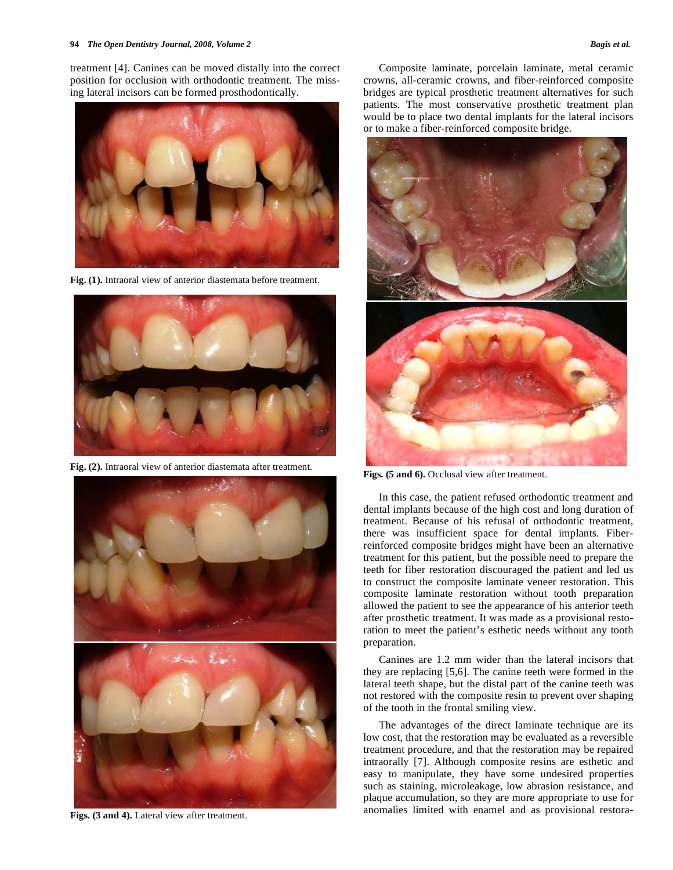treatment [4]. Canines can be moved distally into the correct position for occlusion with orthodontic treatment. The missing lateral incisors can be formed prosthodontically.



**Fig. (1).** Intraoral view of anterior diastemata before treatment.



**Fig. (2).** Intraoral view of anterior diastemata after treatment.



Figs. (3 and 4). Lateral view after treatment.

 Composite laminate, porcelain laminate, metal ceramic crowns, all-ceramic crowns, and fiber-reinforced composite bridges are typical prosthetic treatment alternatives for such patients. The most conservative prosthetic treatment plan would be to place two dental implants for the lateral incisors or to make a fiber-reinforced composite bridge.



Figs. (5 and 6). Occlusal view after treatment.

 In this case, the patient refused orthodontic treatment and dental implants because of the high cost and long duration of treatment. Because of his refusal of orthodontic treatment, there was insufficient space for dental implants. Fiberreinforced composite bridges might have been an alternative treatment for this patient, but the possible need to prepare the teeth for fiber restoration discouraged the patient and led us to construct the composite laminate veneer restoration. This composite laminate restoration without tooth preparation allowed the patient to see the appearance of his anterior teeth after prosthetic treatment. It was made as a provisional restoration to meet the patient's esthetic needs without any tooth preparation.

 Canines are 1.2 mm wider than the lateral incisors that they are replacing [5,6]. The canine teeth were formed in the lateral teeth shape, but the distal part of the canine teeth was not restored with the composite resin to prevent over shaping of the tooth in the frontal smiling view.

 The advantages of the direct laminate technique are its low cost, that the restoration may be evaluated as a reversible treatment procedure, and that the restoration may be repaired intraorally [7]. Although composite resins are esthetic and easy to manipulate, they have some undesired properties such as staining, microleakage, low abrasion resistance, and plaque accumulation, so they are more appropriate to use for anomalies limited with enamel and as provisional restora